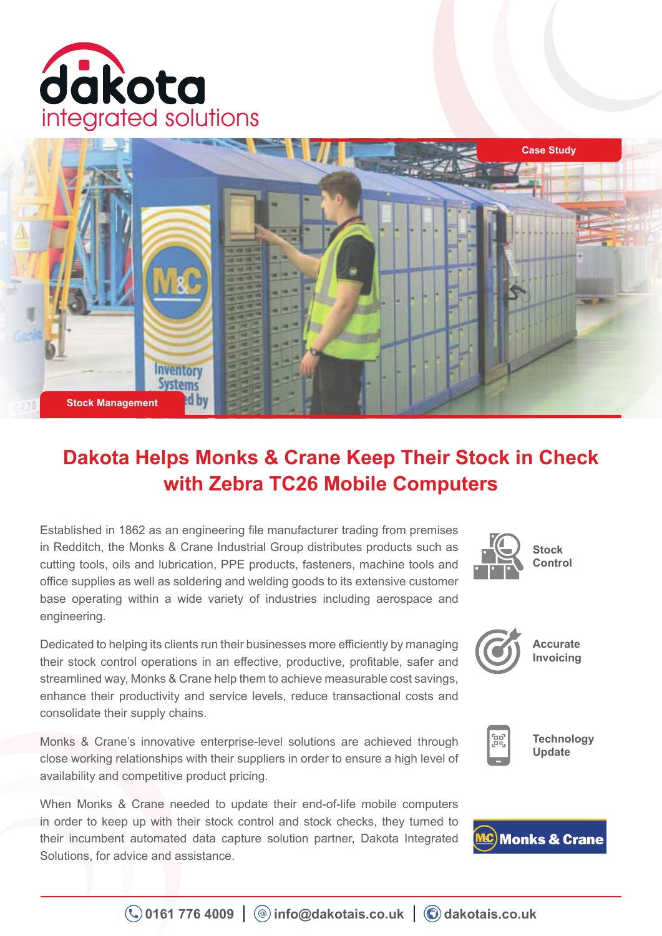



# **Dakota Helps Monks & Crane Keep Their Stock in Check with Zebra TC26 Mobile Computers**

Established in 1862 as an engineering file manufacturer trading from premises in Redditch, the Monks & Crane Industrial Group distributes products such as cutting tools, oils and lubrication, PPE products, fasteners, machine tools and office supplies as well as soldering and welding goods to its extensive customer base operating within a wide variety of industries including aerospace and engineering.

Dedicated to helping its clients run their businesses more efficiently by managing their stock control operations in an effective, productive, profitable, safer and streamlined way, Monks & Crane help them to achieve measurable cost savings, enhance their productivity and service levels, reduce transactional costs and consolidate their supply chains.

Monks & Crane's innovative enterprise-level solutions are achieved through close working relationships with their suppliers in order to ensure a high level of availability and competitive product pricing.

When Monks & Crane needed to update their end-of-life mobile computers in order to keep up with their stock control and stock checks, they turned to their incumbent automated data capture solution partner, Dakota Integrated Solutions, for advice and assistance.





**Accurate Invoicing**



**Technology Update**

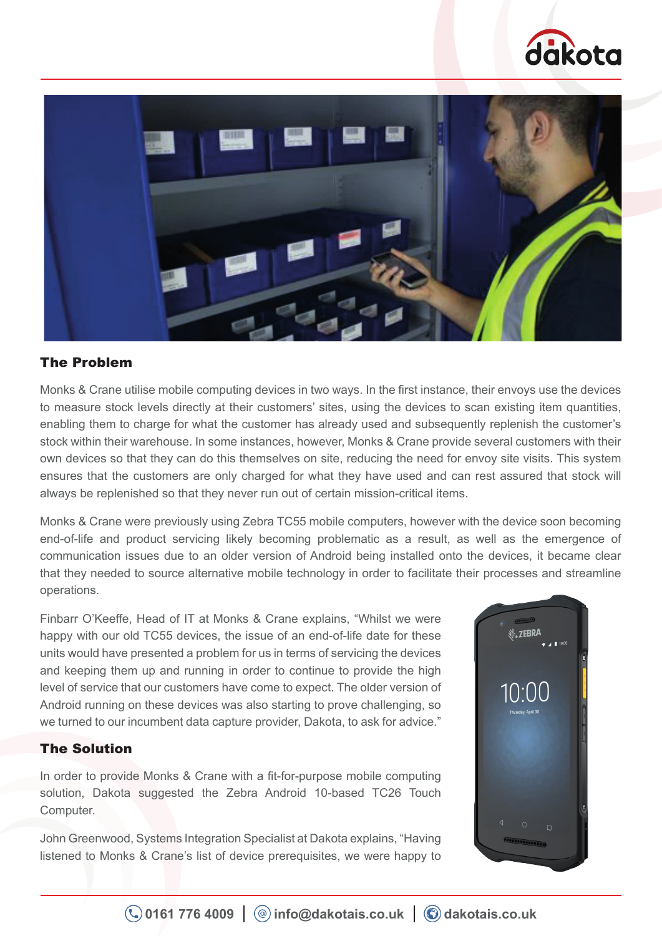



# The Problem

Monks & Crane utilise mobile computing devices in two ways. In the first instance, their envoys use the devices to measure stock levels directly at their customers' sites, using the devices to scan existing item quantities, enabling them to charge for what the customer has already used and subsequently replenish the customer's stock within their warehouse. In some instances, however, Monks & Crane provide several customers with their own devices so that they can do this themselves on site, reducing the need for envoy site visits. This system ensures that the customers are only charged for what they have used and can rest assured that stock will always be replenished so that they never run out of certain mission-critical items.

Monks & Crane were previously using Zebra TC55 mobile computers, however with the device soon becoming end-of-life and product servicing likely becoming problematic as a result, as well as the emergence of communication issues due to an older version of Android being installed onto the devices, it became clear that they needed to source alternative mobile technology in order to facilitate their processes and streamline operations.

Finbarr O'Keeffe, Head of IT at Monks & Crane explains, "Whilst we were happy with our old TC55 devices, the issue of an end-of-life date for these units would have presented a problem for us in terms of servicing the devices and keeping them up and running in order to continue to provide the high level of service that our customers have come to expect. The older version of Android running on these devices was also starting to prove challenging, so we turned to our incumbent data capture provider, Dakota, to ask for advice."

### The Solution

In order to provide Monks & Crane with a fit-for-purpose mobile computing solution, Dakota suggested the Zebra Android 10-based TC26 Touch Computer.

John Greenwood, Systems Integration Specialist at Dakota explains, "Having listened to Monks & Crane's list of device prerequisites, we were happy to